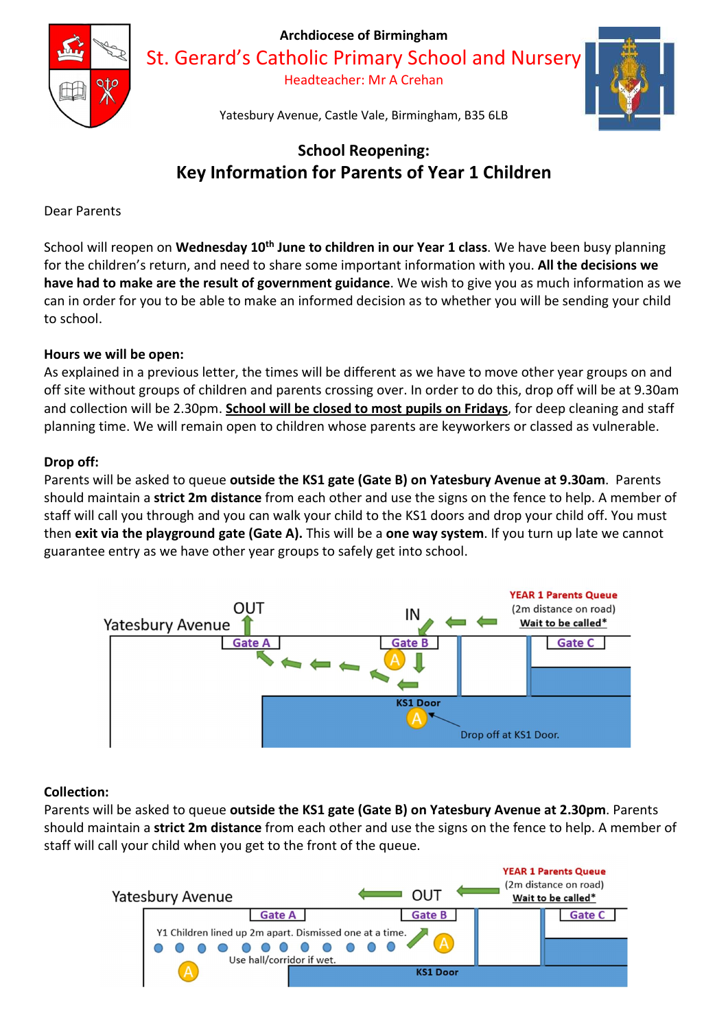

St. Gerard's Catholic Primary School and Nursery

Headteacher: Mr A Crehan



Yatesbury Avenue, Castle Vale, Birmingham, B35 6LB

# School Reopening: Key Information for Parents of Year 1 Children

Dear Parents

School will reopen on Wednesday 10<sup>th</sup> June to children in our Year 1 class. We have been busy planning for the children's return, and need to share some important information with you. All the decisions we have had to make are the result of government guidance. We wish to give you as much information as we can in order for you to be able to make an informed decision as to whether you will be sending your child to school.

# Hours we will be open:

As explained in a previous letter, the times will be different as we have to move other year groups on and off site without groups of children and parents crossing over. In order to do this, drop off will be at 9.30am and collection will be 2.30pm. School will be closed to most pupils on Fridays, for deep cleaning and staff planning time. We will remain open to children whose parents are keyworkers or classed as vulnerable.

# Drop off:

Parents will be asked to queue outside the KS1 gate (Gate B) on Yatesbury Avenue at 9.30am. Parents should maintain a strict 2m distance from each other and use the signs on the fence to help. A member of staff will call you through and you can walk your child to the KS1 doors and drop your child off. You must then exit via the playground gate (Gate A). This will be a one way system. If you turn up late we cannot guarantee entry as we have other year groups to safely get into school.



# Collection:

Parents will be asked to queue outside the KS1 gate (Gate B) on Yatesbury Avenue at 2.30pm. Parents should maintain a strict 2m distance from each other and use the signs on the fence to help. A member of staff will call your child when you get to the front of the queue.

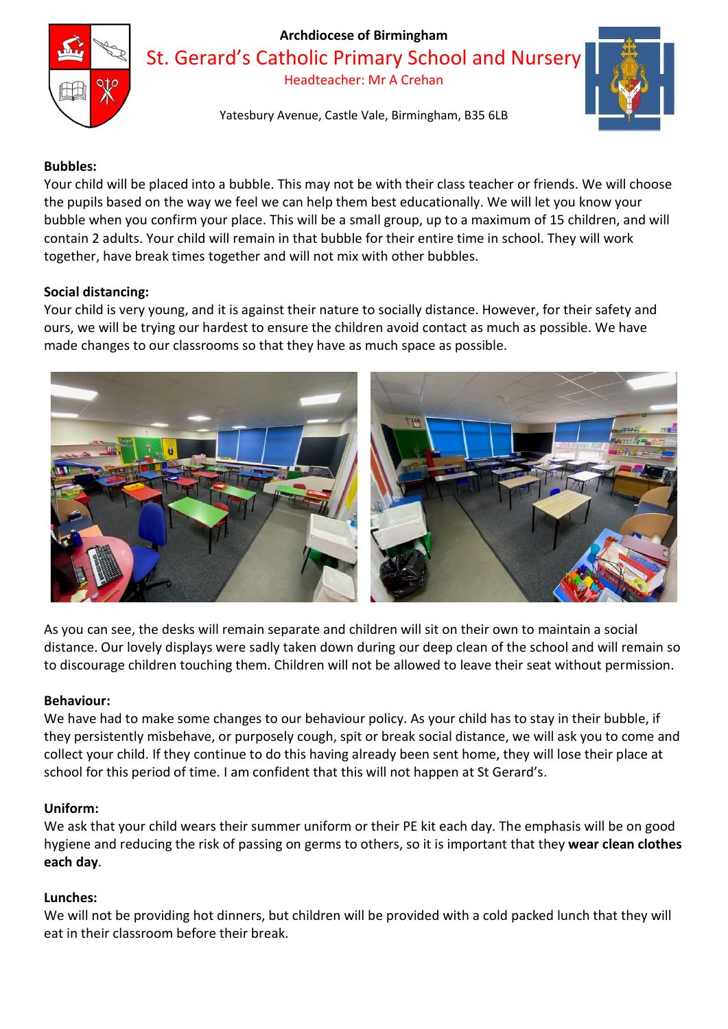

St. Gerard's Catholic Primary School and Nursery

Headteacher: Mr A Crehan

Yatesbury Avenue, Castle Vale, Birmingham, B35 6LB



## Bubbles:

Your child will be placed into a bubble. This may not be with their class teacher or friends. We will choose the pupils based on the way we feel we can help them best educationally. We will let you know your bubble when you confirm your place. This will be a small group, up to a maximum of 15 children, and will contain 2 adults. Your child will remain in that bubble for their entire time in school. They will work together, have break times together and will not mix with other bubbles.

#### Social distancing:

Your child is very young, and it is against their nature to socially distance. However, for their safety and ours, we will be trying our hardest to ensure the children avoid contact as much as possible. We have made changes to our classrooms so that they have as much space as possible.



As you can see, the desks will remain separate and children will sit on their own to maintain a social distance. Our lovely displays were sadly taken down during our deep clean of the school and will remain so to discourage children touching them. Children will not be allowed to leave their seat without permission.

#### Behaviour:

We have had to make some changes to our behaviour policy. As your child has to stay in their bubble, if they persistently misbehave, or purposely cough, spit or break social distance, we will ask you to come and collect your child. If they continue to do this having already been sent home, they will lose their place at school for this period of time. I am confident that this will not happen at St Gerard's.

#### Uniform:

We ask that your child wears their summer uniform or their PE kit each day. The emphasis will be on good hygiene and reducing the risk of passing on germs to others, so it is important that they wear clean clothes each day.

#### Lunches:

We will not be providing hot dinners, but children will be provided with a cold packed lunch that they will eat in their classroom before their break.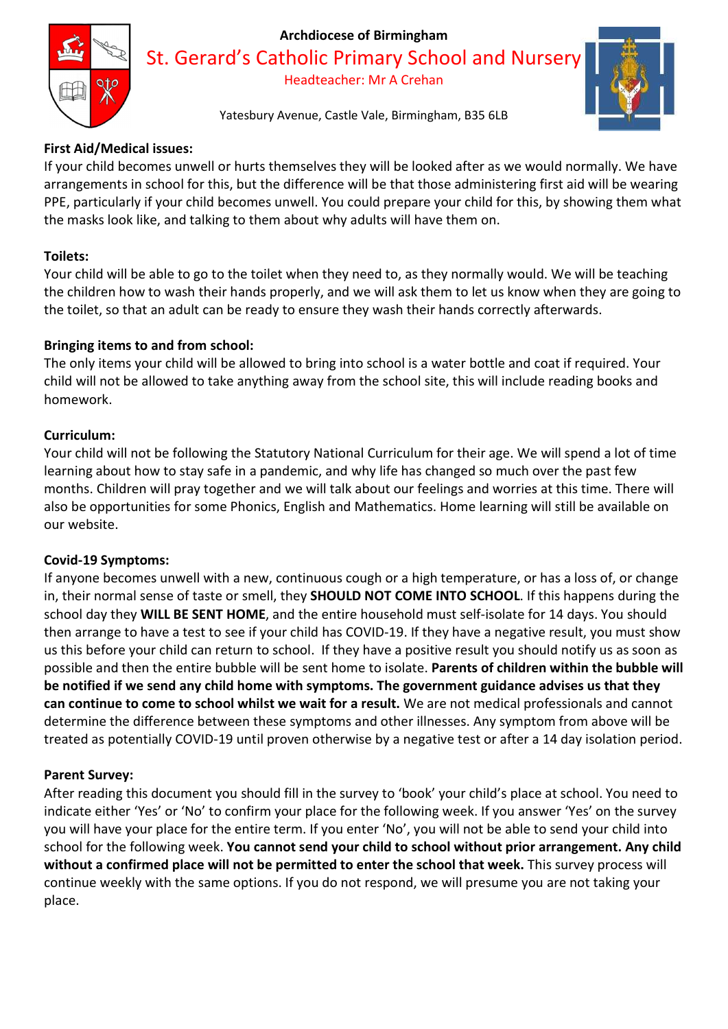

St. Gerard's Catholic Primary School and Nursery

Headteacher: Mr A Crehan

Yatesbury Avenue, Castle Vale, Birmingham, B35 6LB

# First Aid/Medical issues:

If your child becomes unwell or hurts themselves they will be looked after as we would normally. We have arrangements in school for this, but the difference will be that those administering first aid will be wearing PPE, particularly if your child becomes unwell. You could prepare your child for this, by showing them what the masks look like, and talking to them about why adults will have them on.

# Toilets:

Your child will be able to go to the toilet when they need to, as they normally would. We will be teaching the children how to wash their hands properly, and we will ask them to let us know when they are going to the toilet, so that an adult can be ready to ensure they wash their hands correctly afterwards.

# Bringing items to and from school:

The only items your child will be allowed to bring into school is a water bottle and coat if required. Your child will not be allowed to take anything away from the school site, this will include reading books and homework.

# Curriculum:

Your child will not be following the Statutory National Curriculum for their age. We will spend a lot of time learning about how to stay safe in a pandemic, and why life has changed so much over the past few months. Children will pray together and we will talk about our feelings and worries at this time. There will also be opportunities for some Phonics, English and Mathematics. Home learning will still be available on our website.

## Covid-19 Symptoms:

If anyone becomes unwell with a new, continuous cough or a high temperature, or has a loss of, or change in, their normal sense of taste or smell, they **SHOULD NOT COME INTO SCHOOL**. If this happens during the school day they WILL BE SENT HOME, and the entire household must self-isolate for 14 days. You should then arrange to have a test to see if your child has COVID-19. If they have a negative result, you must show us this before your child can return to school. If they have a positive result you should notify us as soon as possible and then the entire bubble will be sent home to isolate. Parents of children within the bubble will be notified if we send any child home with symptoms. The government guidance advises us that they can continue to come to school whilst we wait for a result. We are not medical professionals and cannot determine the difference between these symptoms and other illnesses. Any symptom from above will be treated as potentially COVID-19 until proven otherwise by a negative test or after a 14 day isolation period.

## Parent Survey:

After reading this document you should fill in the survey to 'book' your child's place at school. You need to indicate either 'Yes' or 'No' to confirm your place for the following week. If you answer 'Yes' on the survey you will have your place for the entire term. If you enter 'No', you will not be able to send your child into school for the following week. You cannot send your child to school without prior arrangement. Any child without a confirmed place will not be permitted to enter the school that week. This survey process will continue weekly with the same options. If you do not respond, we will presume you are not taking your place.